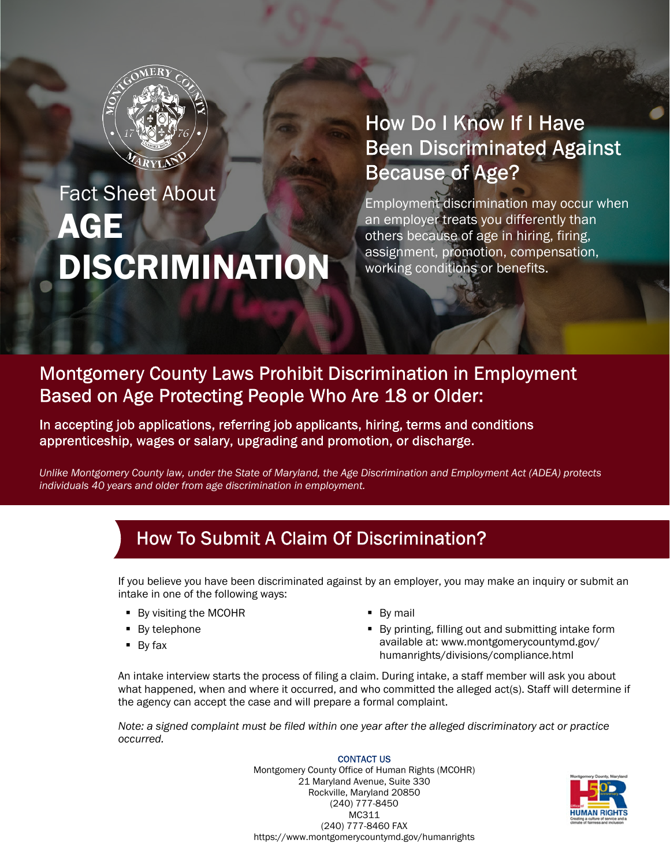

# AGE DISCRIMINATION Fact Sheet About

## How Do I Know If I Have **Been Discriminated Against Because of Age?**

Employment discrimination may occur when an employer treats you differently than others because of age in hiring, firing, assignment, promotion, compensation, working conditions or benefits.

#### **Montgomery County Laws Prohibit Discrimination in Employment** Based on Age Protecting People Who Are 18 or Older:

In accepting job applications, referring job applicants, hiring, terms and conditions apprenticeship, wages or salary, upgrading and promotion, or discharge.

*Unlike Montgomery County law, under the State of Maryland, the Age Discrimination and Employment Act (ADEA) protects individuals 40 years and older from age discrimination in employment.*

### How To Submit A Claim Of Discrimination?

If you believe you have been discriminated against by an employer, you may make an inquiry or submit an intake in one of the following ways:

- **By visiting the MCOHR**
- By telephone
- $\blacksquare$  By fax
- By mail
- **By printing, filling out and submitting intake form** available at: www.montgomerycountymd.gov/ humanrights/divisions/compliance.html

An intake interview starts the process of filing a claim. During intake, a staff member will ask you about what happened, when and where it occurred, and who committed the alleged act(s). Staff will determine if the agency can accept the case and will prepare a formal complaint.

*Note: a signed complaint must be filed within one year after the alleged discriminatory act or practice occurred.*

> **CONTACT US** Montgomery County Office of Human Rights (MCOHR) 21 Maryland Avenue, Suite 330 Rockville, Maryland 20850 (240) 777-8450 MC311 (240) 777-8460 FAX https://www.montgomerycountymd.gov/humanrights